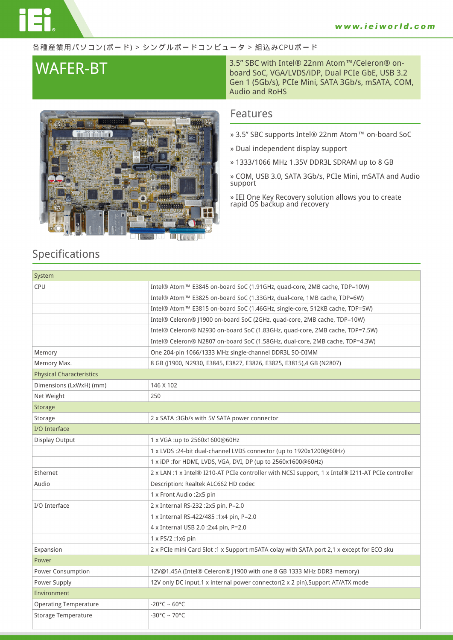#### 各種産業用パソコン(ボード) > シングルボードコンピュータ > 組込みCPUボード



## **WAFER-BT** 3.5" SBC with Intel® 22nm Atom™/Celeron® on-board SoC, VGA/LVDS/iDP, Dual PCIe GbE, USB 3.2 Gen 1 (5Gb/s), PCIe Mini, SATA 3Gb/s, mSATA, COM, Audio and RoHS

### **Features**

- **» 3.5" SBC supports Intel® 22nm Atom™ on-board SoC**
- **» Dual independent display support**
- **» 1333/1066 MHz 1.35V DDR3L SDRAM up to 8 GB**

**» COM, USB 3.0, SATA 3Gb/s, PCIe Mini, mSATA and Audio support**

**» IEI One Key Recovery solution allows you to create rapid OS backup and recovery**

## **Specifications**

| System                          |                                                                                                   |  |
|---------------------------------|---------------------------------------------------------------------------------------------------|--|
| CPU                             | Intel® Atom™ E3845 on-board SoC (1.91GHz, quad-core, 2MB cache, TDP=10W)                          |  |
|                                 | Intel® Atom™ E3825 on-board SoC (1.33GHz, dual-core, 1MB cache, TDP=6W)                           |  |
|                                 | Intel® Atom™ E3815 on-board SoC (1.46GHz, single-core, 512KB cache, TDP=5W)                       |  |
|                                 | Intel® Celeron® J1900 on-board SoC (2GHz, quad-core, 2MB cache, TDP=10W)                          |  |
|                                 | Intel® Celeron® N2930 on-board SoC (1.83GHz, quad-core, 2MB cache, TDP=7.5W)                      |  |
|                                 | Intel® Celeron® N2807 on-board SoC (1.58GHz, dual-core, 2MB cache, TDP=4.3W)                      |  |
| Memory                          | One 204-pin 1066/1333 MHz single-channel DDR3L SO-DIMM                                            |  |
| Memory Max.                     | 8 GB (J1900, N2930, E3845, E3827, E3826, E3825, E3815),4 GB (N2807)                               |  |
| <b>Physical Characteristics</b> |                                                                                                   |  |
| Dimensions (LxWxH) (mm)         | 146 X 102                                                                                         |  |
| Net Weight                      | 250                                                                                               |  |
| Storage                         |                                                                                                   |  |
| Storage                         | 2 x SATA: 3Gb/s with 5V SATA power connector                                                      |  |
| I/O Interface                   |                                                                                                   |  |
| <b>Display Output</b>           | 1 x VGA:up to 2560x1600@60Hz                                                                      |  |
|                                 | 1 x LVDS :24-bit dual-channel LVDS connector (up to 1920x1200@60Hz)                               |  |
|                                 | 1 x iDP :for HDMI, LVDS, VGA, DVI, DP (up to 2560x1600@60Hz)                                      |  |
| Ethernet                        | 2 x LAN :1 x Intel® I210-AT PCIe controller with NCSI support, 1 x Intel® I211-AT PCIe controller |  |
| Audio                           | Description: Realtek ALC662 HD codec                                                              |  |
|                                 | 1 x Front Audio : 2x5 pin                                                                         |  |
| I/O Interface                   | 2 x Internal RS-232 : 2x5 pin, P=2.0                                                              |  |
|                                 | 1 x Internal RS-422/485 :1x4 pin, P=2.0                                                           |  |
|                                 | 4 x Internal USB 2.0 :2x4 pin, P=2.0                                                              |  |
|                                 | $1 \times PS/2$ : 1 $x6$ pin                                                                      |  |
| Expansion                       | 2 x PCIe mini Card Slot :1 x Support mSATA colay with SATA port 2,1 x except for ECO sku          |  |
| Power                           |                                                                                                   |  |
| Power Consumption               | 12V@1.45A (Intel® Celeron® J1900 with one 8 GB 1333 MHz DDR3 memory)                              |  |
| Power Supply                    | 12V only DC input,1 x internal power connector(2 x 2 pin), Support AT/ATX mode                    |  |
| Environment                     |                                                                                                   |  |
| <b>Operating Temperature</b>    | $-20^{\circ}$ C ~ 60°C                                                                            |  |
| <b>Storage Temperature</b>      | $-30^{\circ}$ C ~ 70 $^{\circ}$ C                                                                 |  |